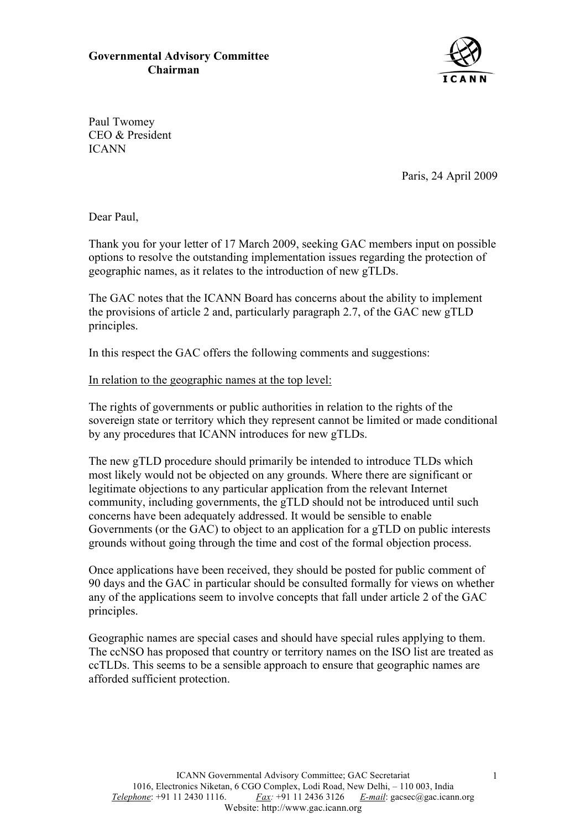## **Governmental Advisory Committee Chairman**



Paul Twomey CEO & President ICANN

Paris, 24 April 2009

Dear Paul,

Thank you for your letter of 17 March 2009, seeking GAC members input on possible options to resolve the outstanding implementation issues regarding the protection of geographic names, as it relates to the introduction of new gTLDs.

The GAC notes that the ICANN Board has concerns about the ability to implement the provisions of article 2 and, particularly paragraph 2.7, of the GAC new gTLD principles.

In this respect the GAC offers the following comments and suggestions:

## In relation to the geographic names at the top level:

The rights of governments or public authorities in relation to the rights of the sovereign state or territory which they represent cannot be limited or made conditional by any procedures that ICANN introduces for new gTLDs.

The new gTLD procedure should primarily be intended to introduce TLDs which most likely would not be objected on any grounds. Where there are significant or legitimate objections to any particular application from the relevant Internet community, including governments, the gTLD should not be introduced until such concerns have been adequately addressed. It would be sensible to enable Governments (or the GAC) to object to an application for a gTLD on public interests grounds without going through the time and cost of the formal objection process.

Once applications have been received, they should be posted for public comment of 90 days and the GAC in particular should be consulted formally for views on whether any of the applications seem to involve concepts that fall under article 2 of the GAC principles.

Geographic names are special cases and should have special rules applying to them. The ccNSO has proposed that country or territory names on the ISO list are treated as ccTLDs. This seems to be a sensible approach to ensure that geographic names are afforded sufficient protection.

1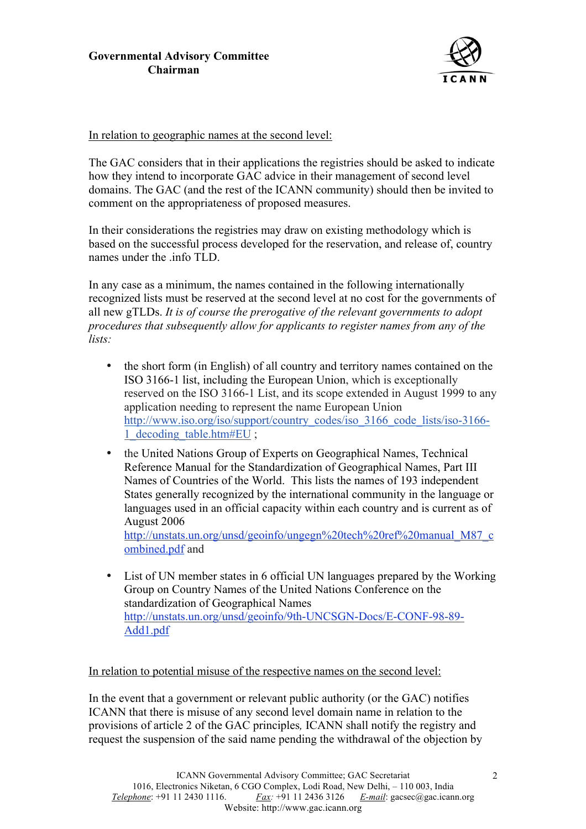

In relation to geographic names at the second level:

The GAC considers that in their applications the registries should be asked to indicate how they intend to incorporate GAC advice in their management of second level domains. The GAC (and the rest of the ICANN community) should then be invited to comment on the appropriateness of proposed measures.

In their considerations the registries may draw on existing methodology which is based on the successful process developed for the reservation, and release of, country names under the .info TLD.

In any case as a minimum, the names contained in the following internationally recognized lists must be reserved at the second level at no cost for the governments of all new gTLDs. *It is of course the prerogative of the relevant governments to adopt procedures that subsequently allow for applicants to register names from any of the lists:*

- the short form (in English) of all country and territory names contained on the ISO 3166-1 list, including the European Union, which is exceptionally reserved on the ISO 3166-1 List, and its scope extended in August 1999 to any application needing to represent the name European Union http://www.iso.org/iso/support/country\_codes/iso\_3166\_code\_lists/iso-3166-1\_decoding\_table.htm#EU ;
- the United Nations Group of Experts on Geographical Names, Technical Reference Manual for the Standardization of Geographical Names, Part III Names of Countries of the World. This lists the names of 193 independent States generally recognized by the international community in the language or languages used in an official capacity within each country and is current as of August 2006

http://unstats.un.org/unsd/geoinfo/ungegn%20tech%20ref%20manual\_M87\_c ombined.pdf and

• List of UN member states in 6 official UN languages prepared by the Working Group on Country Names of the United Nations Conference on the standardization of Geographical Names http://unstats.un.org/unsd/geoinfo/9th-UNCSGN-Docs/E-CONF-98-89- Add1.pdf

## In relation to potential misuse of the respective names on the second level:

In the event that a government or relevant public authority (or the GAC) notifies ICANN that there is misuse of any second level domain name in relation to the provisions of article 2 of the GAC principles*,* ICANN shall notify the registry and request the suspension of the said name pending the withdrawal of the objection by